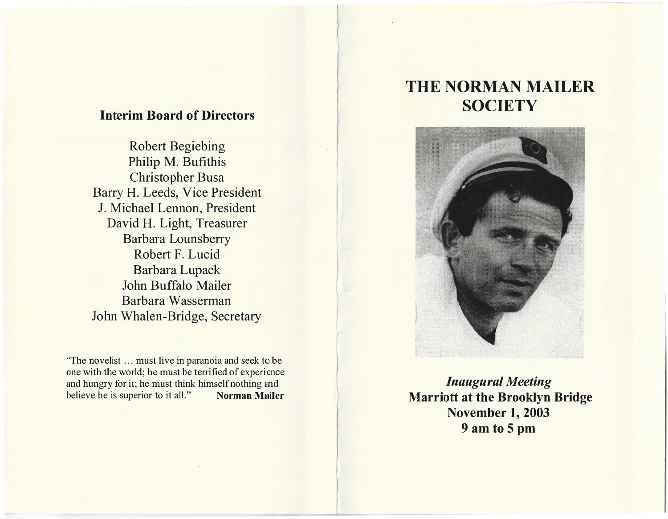## Interim Board of Directors

Robert Begiebing Philip M. Bufithis Christopher Busa Barry H. Leeds, Vice President J. Michael Lennon, President David H. Light, Treasurer Barbara Lounsberry Robert F. Lucid Barbara Lupack John Buffalo Mailer Barbara Wasserman John Whalen-Bridge, Secretary

"The novelist ... must live in paranoia and seek to be one with the world; he must be terrified of experience and hungry for it; he must think himself nothing and believe he is superior to it all." Norman Mailer

# THE NORMAN MAILER **SOCIETY**

 $\overline{\phantom{a}}$ 



Inaugural Meeting Marriott at the Brooklyn Bridge November 1, 2003 9 am to 5 pm